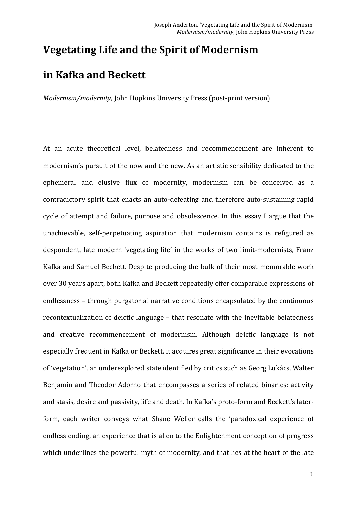# **Vegetating Life and the Spirit of Modernism**

# **in Kafka and Beckett**

*Modernism/modernity*, John Hopkins University Press (post-print version)

At an acute theoretical level, belatedness and recommencement are inherent to modernism's pursuit of the now and the new. As an artistic sensibility dedicated to the ephemeral and elusive flux of modernity, modernism can be conceived as a contradictory spirit that enacts an auto-defeating and therefore auto-sustaining rapid cycle of attempt and failure, purpose and obsolescence. In this essay I argue that the unachievable, self-perpetuating aspiration that modernism contains is refigured as despondent, late modern 'vegetating life' in the works of two limit-modernists, Franz Kafka and Samuel Beckett. Despite producing the bulk of their most memorable work over 30 years apart, both Kafka and Beckett repeatedly offer comparable expressions of endlessness – through purgatorial narrative conditions encapsulated by the continuous recontextualization of deictic language – that resonate with the inevitable belatedness and creative recommencement of modernism. Although deictic language is not especially frequent in Kafka or Beckett, it acquires great significance in their evocations of 'vegetation', an underexplored state identified by critics such as Georg Lukács, Walter Benjamin and Theodor Adorno that encompasses a series of related binaries: activity and stasis, desire and passivity, life and death. In Kafka's proto-form and Beckett's laterform, each writer conveys what Shane Weller calls the 'paradoxical experience of endless ending, an experience that is alien to the Enlightenment conception of progress which underlines the powerful myth of modernity, and that lies at the heart of the late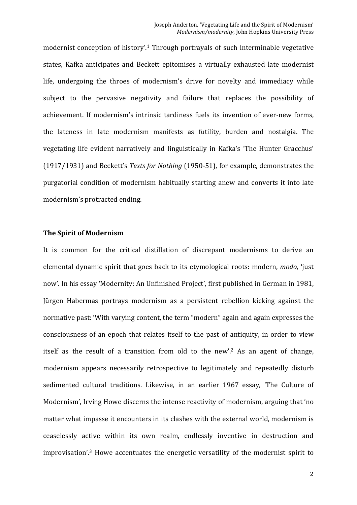modernist conception of history'.<sup>1</sup> Through portrayals of such interminable vegetative states, Kafka anticipates and Beckett epitomises a virtually exhausted late modernist life, undergoing the throes of modernism's drive for novelty and immediacy while subject to the pervasive negativity and failure that replaces the possibility of achievement. If modernism's intrinsic tardiness fuels its invention of ever-new forms, the lateness in late modernism manifests as futility, burden and nostalgia. The vegetating life evident narratively and linguistically in Kafka's 'The Hunter Gracchus' (1917/1931) and Beckett's *Texts for Nothing* (1950-51), for example, demonstrates the purgatorial condition of modernism habitually starting anew and converts it into late modernism's protracted ending.

# **The Spirit of Modernism**

It is common for the critical distillation of discrepant modernisms to derive an elemental dynamic spirit that goes back to its etymological roots: modern, *modo*, 'just now'. In his essay 'Modernity: An Unfinished Project', first published in German in 1981, Jürgen Habermas portrays modernism as a persistent rebellion kicking against the normative past: 'With varying content, the term "modern" again and again expresses the consciousness of an epoch that relates itself to the past of antiquity, in order to view itself as the result of a transition from old to the new'.<sup>2</sup> As an agent of change, modernism appears necessarily retrospective to legitimately and repeatedly disturb sedimented cultural traditions. Likewise, in an earlier 1967 essay, 'The Culture of Modernism', Irving Howe discerns the intense reactivity of modernism, arguing that 'no matter what impasse it encounters in its clashes with the external world, modernism is ceaselessly active within its own realm, endlessly inventive in destruction and improvisation'.<sup>3</sup> Howe accentuates the energetic versatility of the modernist spirit to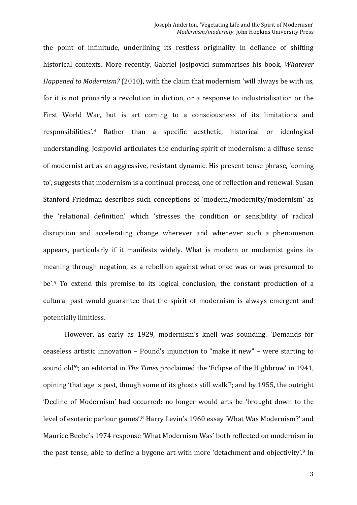the point of infinitude, underlining its restless originality in defiance of shifting historical contexts. More recently, Gabriel Josipovici summarises his book, *Whatever Happened to Modernism?* (2010), with the claim that modernism 'will always be with us, for it is not primarily a revolution in diction, or a response to industrialisation or the First World War, but is art coming to a consciousness of its limitations and responsibilities'.<sup>4</sup> Rather than a specific aesthetic, historical or ideological understanding, Josipovici articulates the enduring spirit of modernism: a diffuse sense of modernist art as an aggressive, resistant dynamic. His present tense phrase, 'coming to', suggests that modernism is a continual process, one of reflection and renewal. Susan Stanford Friedman describes such conceptions of 'modern/modernity/modernism' as the 'relational definition' which 'stresses the condition or sensibility of radical disruption and accelerating change wherever and whenever such a phenomenon appears, particularly if it manifests widely. What is modern or modernist gains its meaning through negation, as a rebellion against what once was or was presumed to be'.<sup>5</sup> To extend this premise to its logical conclusion, the constant production of a cultural past would guarantee that the spirit of modernism is always emergent and potentially limitless.

However, as early as 1929, modernism's knell was sounding. 'Demands for ceaseless artistic innovation – Pound's injunction to "make it new" – were starting to sound old'<sup>6</sup>; an editorial in *The Times* proclaimed the 'Eclipse of the Highbrow' in 1941, opining 'that age is past, though some of its ghosts still walk'<sup>7</sup>; and by 1955, the outright 'Decline of Modernism' had occurred: no longer would arts be 'brought down to the level of esoteric parlour games'.<sup>8</sup> Harry Levin's 1960 essay 'What Was Modernism?' and Maurice Beebe's 1974 response 'What Modernism Was' both reflected on modernism in the past tense, able to define a bygone art with more 'detachment and objectivity'.<sup>9</sup> In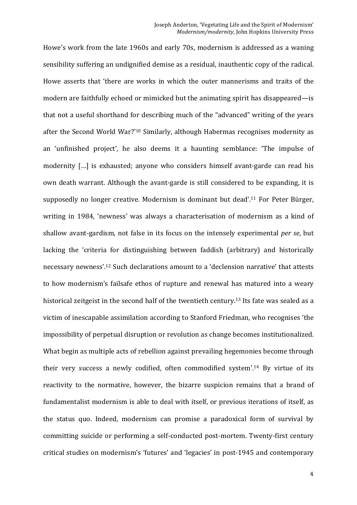Howe's work from the late 1960s and early 70s, modernism is addressed as a waning sensibility suffering an undignified demise as a residual, inauthentic copy of the radical. Howe asserts that 'there are works in which the outer mannerisms and traits of the modern are faithfully echoed or mimicked but the animating spirit has disappeared—is that not a useful shorthand for describing much of the "advanced" writing of the years after the Second World War?'<sup>10</sup> Similarly, although Habermas recognises modernity as an 'unfinished project', he also deems it a haunting semblance: 'The impulse of modernity [...] is exhausted; anyone who considers himself avant-garde can read his own death warrant. Although the avant-garde is still considered to be expanding, it is supposedly no longer creative. Modernism is dominant but dead'.<sup>11</sup> For Peter Bürger, writing in 1984, 'newness' was always a characterisation of modernism as a kind of shallow avant-gardism, not false in its focus on the intensely experimental *per se*, but lacking the 'criteria for distinguishing between faddish (arbitrary) and historically necessary newness'.<sup>12</sup> Such declarations amount to a 'declension narrative' that attests to how modernism's failsafe ethos of rupture and renewal has matured into a weary historical zeitgeist in the second half of the twentieth century.<sup>13</sup> Its fate was sealed as a victim of inescapable assimilation according to Stanford Friedman, who recognises 'the impossibility of perpetual disruption or revolution as change becomes institutionalized. What begin as multiple acts of rebellion against prevailing hegemonies become through their very success a newly codified, often commodified system'.<sup>14</sup> By virtue of its reactivity to the normative, however, the bizarre suspicion remains that a brand of fundamentalist modernism is able to deal with itself, or previous iterations of itself, as the status quo. Indeed, modernism can promise a paradoxical form of survival by committing suicide or performing a self-conducted post-mortem. Twenty-first century critical studies on modernism's 'futures' and 'legacies' in post-1945 and contemporary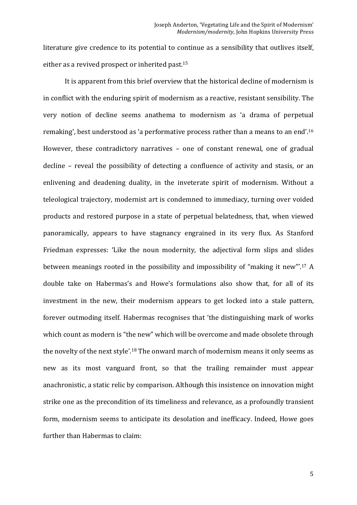literature give credence to its potential to continue as a sensibility that outlives itself, either as a revived prospect or inherited past.<sup>15</sup>

It is apparent from this brief overview that the historical decline of modernism is in conflict with the enduring spirit of modernism as a reactive, resistant sensibility. The very notion of decline seems anathema to modernism as 'a drama of perpetual remaking', best understood as 'a performative process rather than a means to an end'.<sup>16</sup> However, these contradictory narratives - one of constant renewal, one of gradual decline – reveal the possibility of detecting a confluence of activity and stasis, or an enlivening and deadening duality, in the inveterate spirit of modernism. Without a teleological trajectory, modernist art is condemned to immediacy, turning over voided products and restored purpose in a state of perpetual belatedness, that, when viewed panoramically, appears to have stagnancy engrained in its very flux. As Stanford Friedman expresses: 'Like the noun modernity, the adjectival form slips and slides between meanings rooted in the possibility and impossibility of "making it new".<sup>17</sup> A double take on Habermas's and Howe's formulations also show that, for all of its investment in the new, their modernism appears to get locked into a stale pattern, forever outmoding itself. Habermas recognises that 'the distinguishing mark of works which count as modern is "the new" which will be overcome and made obsolete through the novelty of the next style'.<sup>18</sup> The onward march of modernism means it only seems as new as its most vanguard front, so that the trailing remainder must appear anachronistic, a static relic by comparison. Although this insistence on innovation might strike one as the precondition of its timeliness and relevance, as a profoundly transient form, modernism seems to anticipate its desolation and inefficacy. Indeed, Howe goes further than Habermas to claim: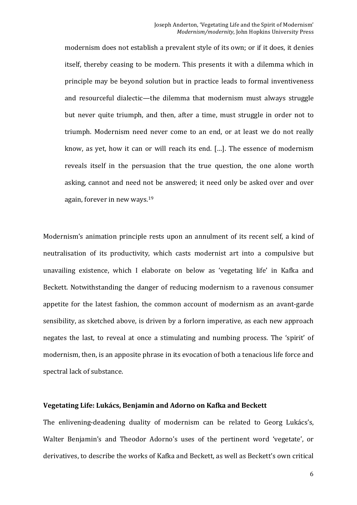modernism does not establish a prevalent style of its own; or if it does, it denies itself, thereby ceasing to be modern. This presents it with a dilemma which in principle may be beyond solution but in practice leads to formal inventiveness and resourceful dialectic—the dilemma that modernism must always struggle but never quite triumph, and then, after a time, must struggle in order not to triumph. Modernism need never come to an end, or at least we do not really know, as yet, how it can or will reach its end. [...]. The essence of modernism reveals itself in the persuasion that the true question, the one alone worth asking, cannot and need not be answered; it need only be asked over and over again, forever in new ways. $19$ 

Modernism's animation principle rests upon an annulment of its recent self, a kind of neutralisation of its productivity, which casts modernist art into a compulsive but unavailing existence, which I elaborate on below as 'vegetating life' in Kafka and Beckett. Notwithstanding the danger of reducing modernism to a ravenous consumer appetite for the latest fashion, the common account of modernism as an avant-garde sensibility, as sketched above, is driven by a forlorn imperative, as each new approach negates the last, to reveal at once a stimulating and numbing process. The 'spirit' of modernism, then, is an apposite phrase in its evocation of both a tenacious life force and spectral lack of substance.

## Vegetating Life: Lukács, Benjamin and Adorno on Kafka and Beckett

The enlivening-deadening duality of modernism can be related to Georg Lukács's, Walter Benjamin's and Theodor Adorno's uses of the pertinent word 'vegetate', or derivatives, to describe the works of Kafka and Beckett, as well as Beckett's own critical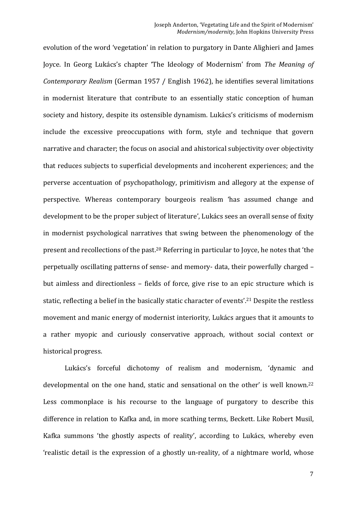evolution of the word 'vegetation' in relation to purgatory in Dante Alighieri and James Joyce. In Georg Lukács's chapter 'The Ideology of Modernism' from *The Meaning of Contemporary Realism* (German 1957 / English 1962), he identifies several limitations in modernist literature that contribute to an essentially static conception of human society and history, despite its ostensible dynamism. Lukács's criticisms of modernism include the excessive preoccupations with form, style and technique that govern narrative and character; the focus on asocial and ahistorical subjectivity over objectivity that reduces subjects to superficial developments and incoherent experiences; and the perverse accentuation of psychopathology, primitivism and allegory at the expense of perspective. Whereas contemporary bourgeois realism 'has assumed change and development to be the proper subject of literature', Lukács sees an overall sense of fixity in modernist psychological narratives that swing between the phenomenology of the present and recollections of the past.<sup>20</sup> Referring in particular to Joyce, he notes that 'the perpetually oscillating patterns of sense- and memory- data, their powerfully charged – but aimless and directionless – fields of force, give rise to an epic structure which is static, reflecting a belief in the basically static character of events'.<sup>21</sup> Despite the restless movement and manic energy of modernist interiority, Lukács argues that it amounts to a rather myopic and curiously conservative approach, without social context or historical progress.

Lukács's forceful dichotomy of realism and modernism, 'dynamic and developmental on the one hand, static and sensational on the other' is well known.<sup>22</sup> Less commonplace is his recourse to the language of purgatory to describe this difference in relation to Kafka and, in more scathing terms, Beckett. Like Robert Musil, Kafka summons 'the ghostly aspects of reality', according to Lukács, whereby even 'realistic detail is the expression of a ghostly un-reality, of a nightmare world, whose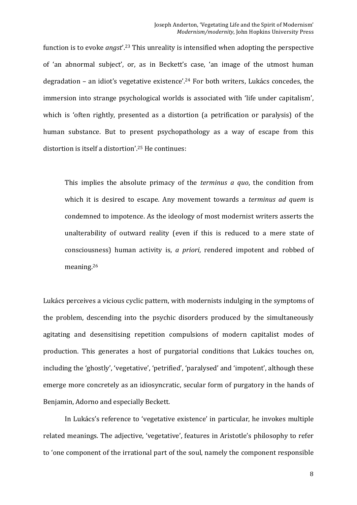function is to evoke *angst*'.<sup>23</sup> This unreality is intensified when adopting the perspective of 'an abnormal subject', or, as in Beckett's case, 'an image of the utmost human degradation - an idiot's vegetative existence'.<sup>24</sup> For both writers, Lukács concedes, the immersion into strange psychological worlds is associated with 'life under capitalism', which is 'often rightly, presented as a distortion (a petrification or paralysis) of the human substance. But to present psychopathology as a way of escape from this distortion is itself a distortion'.<sup>25</sup> He continues:

This implies the absolute primacy of the *terminus a quo*, the condition from which it is desired to escape. Any movement towards a *terminus ad quem* is condemned to impotence. As the ideology of most modernist writers asserts the unalterability of outward reality (even if this is reduced to a mere state of consciousness) human activity is, *a priori*, rendered impotent and robbed of meaning.26

Lukács perceives a vicious cyclic pattern, with modernists indulging in the symptoms of the problem, descending into the psychic disorders produced by the simultaneously agitating and desensitising repetition compulsions of modern capitalist modes of production. This generates a host of purgatorial conditions that Lukács touches on, including the 'ghostly', 'vegetative', 'petrified', 'paralysed' and 'impotent', although these emerge more concretely as an idiosyncratic, secular form of purgatory in the hands of Benjamin, Adorno and especially Beckett.

In Lukács's reference to 'vegetative existence' in particular, he invokes multiple related meanings. The adjective, 'vegetative', features in Aristotle's philosophy to refer to 'one component of the irrational part of the soul, namely the component responsible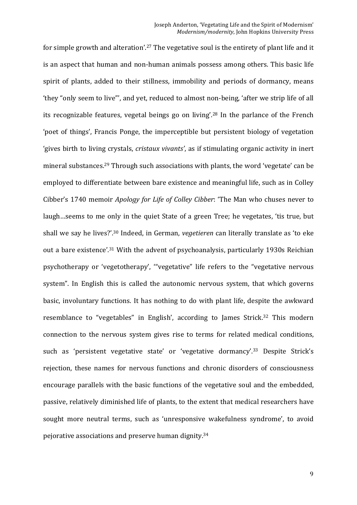for simple growth and alteration'.<sup>27</sup> The vegetative soul is the entirety of plant life and it is an aspect that human and non-human animals possess among others. This basic life spirit of plants, added to their stillness, immobility and periods of dormancy, means 'they "only seem to live"', and yet, reduced to almost non-being, 'after we strip life of all its recognizable features, vegetal beings go on living'.<sup>28</sup> In the parlance of the French 'poet of things', Francis Ponge, the imperceptible but persistent biology of vegetation 'gives birth to living crystals, *cristaux vivants'*, as if stimulating organic activity in inert mineral substances.<sup>29</sup> Through such associations with plants, the word 'vegetate' can be employed to differentiate between bare existence and meaningful life, such as in Colley Cibber's 1740 memoir *Apology for Life of Colley Cibber*: 'The Man who chuses never to laugh...seems to me only in the quiet State of a green Tree; he vegetates, 'tis true, but shall we say he lives?'.<sup>30</sup> Indeed, in German, *vegetieren* can literally translate as 'to eke out a bare existence'.<sup>31</sup> With the advent of psychoanalysis, particularly 1930s Reichian psychotherapy or 'vegetotherapy', "'vegetative" life refers to the "vegetative nervous system". In English this is called the autonomic nervous system, that which governs basic, involuntary functions. It has nothing to do with plant life, despite the awkward resemblance to "vegetables" in English', according to James Strick.<sup>32</sup> This modern connection to the nervous system gives rise to terms for related medical conditions, such as 'persistent vegetative state' or 'vegetative dormancy'.<sup>33</sup> Despite Strick's rejection, these names for nervous functions and chronic disorders of consciousness encourage parallels with the basic functions of the vegetative soul and the embedded, passive, relatively diminished life of plants, to the extent that medical researchers have sought more neutral terms, such as 'unresponsive wakefulness syndrome', to avoid pejorative associations and preserve human dignity.<sup>34</sup>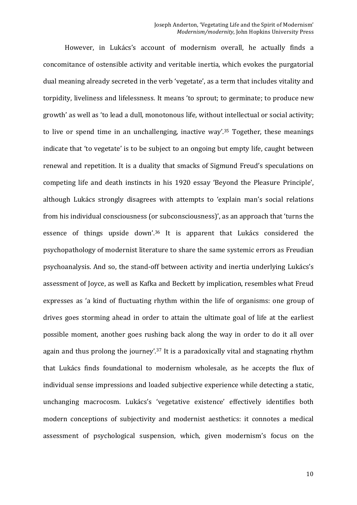However, in Lukács's account of modernism overall, he actually finds a concomitance of ostensible activity and veritable inertia, which evokes the purgatorial dual meaning already secreted in the verb 'vegetate', as a term that includes vitality and torpidity, liveliness and lifelessness. It means 'to sprout; to germinate; to produce new growth' as well as 'to lead a dull, monotonous life, without intellectual or social activity; to live or spend time in an unchallenging, inactive way'.<sup>35</sup> Together, these meanings indicate that 'to vegetate' is to be subject to an ongoing but empty life, caught between renewal and repetition. It is a duality that smacks of Sigmund Freud's speculations on competing life and death instincts in his 1920 essay 'Beyond the Pleasure Principle', although Lukács strongly disagrees with attempts to 'explain man's social relations from his individual consciousness (or subconsciousness)', as an approach that 'turns the essence of things upside down'.<sup>36</sup> It is apparent that Lukács considered the psychopathology of modernist literature to share the same systemic errors as Freudian psychoanalysis. And so, the stand-off between activity and inertia underlying Lukács's assessment of Joyce, as well as Kafka and Beckett by implication, resembles what Freud expresses as 'a kind of fluctuating rhythm within the life of organisms: one group of drives goes storming ahead in order to attain the ultimate goal of life at the earliest possible moment, another goes rushing back along the way in order to do it all over again and thus prolong the journey'.<sup>37</sup> It is a paradoxically vital and stagnating rhythm that Lukács finds foundational to modernism wholesale, as he accepts the flux of individual sense impressions and loaded subjective experience while detecting a static, unchanging macrocosm. Lukács's 'vegetative existence' effectively identifies both modern conceptions of subjectivity and modernist aesthetics: it connotes a medical assessment of psychological suspension, which, given modernism's focus on the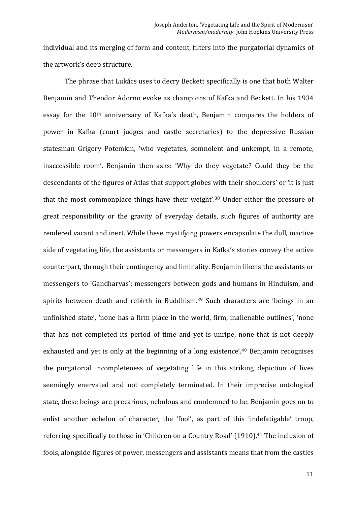individual and its merging of form and content, filters into the purgatorial dynamics of the artwork's deep structure.

The phrase that Lukács uses to decry Beckett specifically is one that both Walter Benjamin and Theodor Adorno evoke as champions of Kafka and Beckett. In his 1934 essay for the  $10<sup>th</sup>$  anniversary of Kafka's death, Benjamin compares the holders of power in Kafka (court judges and castle secretaries) to the depressive Russian statesman Grigory Potemkin, 'who vegetates, somnolent and unkempt, in a remote, inaccessible room'. Benjamin then asks: 'Why do they vegetate? Could they be the descendants of the figures of Atlas that support globes with their shoulders' or 'it is just that the most commonplace things have their weight'.<sup>38</sup> Under either the pressure of great responsibility or the gravity of everyday details, such figures of authority are rendered vacant and inert. While these mystifying powers encapsulate the dull, inactive side of vegetating life, the assistants or messengers in Kafka's stories convey the active counterpart, through their contingency and liminality. Benjamin likens the assistants or messengers to 'Gandharvas': messengers between gods and humans in Hinduism, and spirits between death and rebirth in Buddhism.<sup>39</sup> Such characters are 'beings in an unfinished state', 'none has a firm place in the world, firm, inalienable outlines', 'none that has not completed its period of time and yet is unripe, none that is not deeply exhausted and yet is only at the beginning of a long existence'.<sup>40</sup> Benjamin recognises the purgatorial incompleteness of vegetating life in this striking depiction of lives seemingly enervated and not completely terminated. In their imprecise ontological state, these beings are precarious, nebulous and condemned to be. Benjamin goes on to enlist another echelon of character, the 'fool', as part of this 'indefatigable' troop, referring specifically to those in 'Children on a Country Road'  $(1910)$ .<sup>41</sup> The inclusion of fools, alongside figures of power, messengers and assistants means that from the castles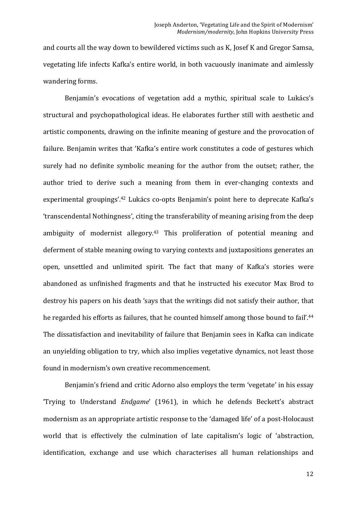and courts all the way down to bewildered victims such as K, Josef K and Gregor Samsa, vegetating life infects Kafka's entire world, in both vacuously inanimate and aimlessly wandering forms.

Benjamin's evocations of vegetation add a mythic, spiritual scale to Lukács's structural and psychopathological ideas. He elaborates further still with aesthetic and artistic components, drawing on the infinite meaning of gesture and the provocation of failure. Benjamin writes that 'Kafka's entire work constitutes a code of gestures which surely had no definite symbolic meaning for the author from the outset; rather, the author tried to derive such a meaning from them in ever-changing contexts and experimental groupings'.<sup>42</sup> Lukács co-opts Benjamin's point here to deprecate Kafka's 'transcendental Nothingness', citing the transferability of meaning arising from the deep ambiguity of modernist allegory.<sup>43</sup> This proliferation of potential meaning and deferment of stable meaning owing to varying contexts and juxtapositions generates an open, unsettled and unlimited spirit. The fact that many of Kafka's stories were abandoned as unfinished fragments and that he instructed his executor Max Brod to destroy his papers on his death 'says that the writings did not satisfy their author, that he regarded his efforts as failures, that he counted himself among those bound to fail'.<sup>44</sup> The dissatisfaction and inevitability of failure that Benjamin sees in Kafka can indicate an unyielding obligation to try, which also implies vegetative dynamics, not least those found in modernism's own creative recommencement.

Benjamin's friend and critic Adorno also employs the term 'vegetate' in his essay 'Trying to Understand *Endgame'* (1961), in which he defends Beckett's abstract modernism as an appropriate artistic response to the 'damaged life' of a post-Holocaust world that is effectively the culmination of late capitalism's logic of 'abstraction, identification, exchange and use which characterises all human relationships and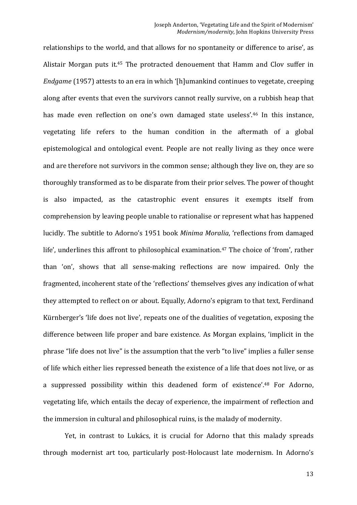relationships to the world, and that allows for no spontaneity or difference to arise', as Alistair Morgan puts it. $45$  The protracted denouement that Hamm and Clov suffer in *Endgame* (1957) attests to an era in which '[h]umankind continues to vegetate, creeping along after events that even the survivors cannot really survive, on a rubbish heap that has made even reflection on one's own damaged state useless'.<sup>46</sup> In this instance, vegetating life refers to the human condition in the aftermath of a global epistemological and ontological event. People are not really living as they once were and are therefore not survivors in the common sense; although they live on, they are so thoroughly transformed as to be disparate from their prior selves. The power of thought is also impacted, as the catastrophic event ensures it exempts itself from comprehension by leaving people unable to rationalise or represent what has happened lucidly. The subtitle to Adorno's 1951 book *Minima Moralia*, 'reflections from damaged life', underlines this affront to philosophical examination.<sup>47</sup> The choice of 'from', rather than 'on', shows that all sense-making reflections are now impaired. Only the fragmented, incoherent state of the 'reflections' themselves gives any indication of what they attempted to reflect on or about. Equally, Adorno's epigram to that text, Ferdinand Kürnberger's 'life does not live', repeats one of the dualities of vegetation, exposing the difference between life proper and bare existence. As Morgan explains, 'implicit in the phrase "life does not live" is the assumption that the verb "to live" implies a fuller sense of life which either lies repressed beneath the existence of a life that does not live, or as a suppressed possibility within this deadened form of existence'.<sup>48</sup> For Adorno, vegetating life, which entails the decay of experience, the impairment of reflection and the immersion in cultural and philosophical ruins, is the malady of modernity.

Yet, in contrast to Lukács, it is crucial for Adorno that this malady spreads through modernist art too, particularly post-Holocaust late modernism. In Adorno's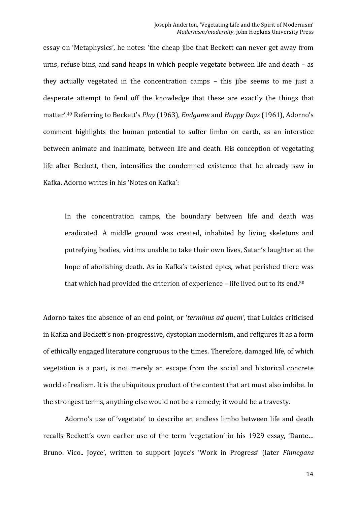essay on 'Metaphysics', he notes: 'the cheap jibe that Beckett can never get away from urns, refuse bins, and sand heaps in which people vegetate between life and death  $-$  as they actually vegetated in the concentration camps – this jibe seems to me just a desperate attempt to fend off the knowledge that these are exactly the things that matter'.<sup>49</sup> Referring to Beckett's *Play* (1963), *Endgame* and *Happy Days* (1961), Adorno's comment highlights the human potential to suffer limbo on earth, as an interstice between animate and inanimate, between life and death. His conception of vegetating life after Beckett, then, intensifies the condemned existence that he already saw in Kafka. Adorno writes in his 'Notes on Kafka':

In the concentration camps, the boundary between life and death was eradicated. A middle ground was created, inhabited by living skeletons and putrefying bodies, victims unable to take their own lives, Satan's laughter at the hope of abolishing death. As in Kafka's twisted epics, what perished there was that which had provided the criterion of experience  $-$  life lived out to its end.<sup>50</sup>

Adorno takes the absence of an end point, or 'terminus ad quem', that Lukács criticised in Kafka and Beckett's non-progressive, dystopian modernism, and refigures it as a form of ethically engaged literature congruous to the times. Therefore, damaged life, of which vegetation is a part, is not merely an escape from the social and historical concrete world of realism. It is the ubiquitous product of the context that art must also imbibe. In the strongest terms, anything else would not be a remedy; it would be a travesty.

Adorno's use of 'vegetate' to describe an endless limbo between life and death recalls Beckett's own earlier use of the term 'vegetation' in his 1929 essay, 'Dante... Bruno. Vico.. Joyce', written to support Joyce's 'Work in Progress' (later *Finnegans*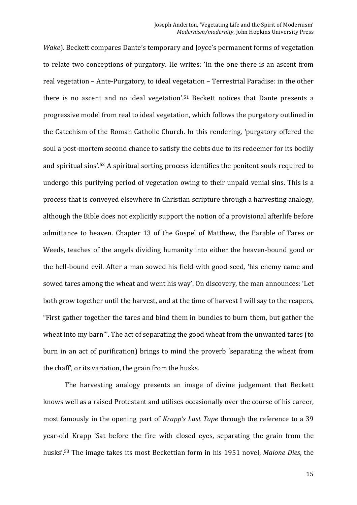*Wake*). Beckett compares Dante's temporary and Joyce's permanent forms of vegetation to relate two conceptions of purgatory. He writes: 'In the one there is an ascent from real vegetation – Ante-Purgatory, to ideal vegetation – Terrestrial Paradise: in the other there is no ascent and no ideal vegetation'.<sup>51</sup> Beckett notices that Dante presents a progressive model from real to ideal vegetation, which follows the purgatory outlined in the Catechism of the Roman Catholic Church. In this rendering, 'purgatory offered the soul a post-mortem second chance to satisfy the debts due to its redeemer for its bodily and spiritual sins'.<sup>52</sup> A spiritual sorting process identifies the penitent souls required to undergo this purifying period of vegetation owing to their unpaid venial sins. This is a process that is conveyed elsewhere in Christian scripture through a harvesting analogy, although the Bible does not explicitly support the notion of a provisional afterlife before admittance to heaven. Chapter 13 of the Gospel of Matthew, the Parable of Tares or Weeds, teaches of the angels dividing humanity into either the heaven-bound good or the hell-bound evil. After a man sowed his field with good seed, 'his enemy came and sowed tares among the wheat and went his way'. On discovery, the man announces: 'Let both grow together until the harvest, and at the time of harvest I will say to the reapers, "First gather together the tares and bind them in bundles to burn them, but gather the wheat into my barn"'. The act of separating the good wheat from the unwanted tares (to burn in an act of purification) brings to mind the proverb 'separating the wheat from the chaff', or its variation, the grain from the husks.

The harvesting analogy presents an image of divine judgement that Beckett knows well as a raised Protestant and utilises occasionally over the course of his career, most famously in the opening part of *Krapp's Last Tape* through the reference to a 39 year-old Krapp 'Sat before the fire with closed eyes, separating the grain from the husks'.<sup>53</sup> The image takes its most Beckettian form in his 1951 novel, *Malone Dies*, the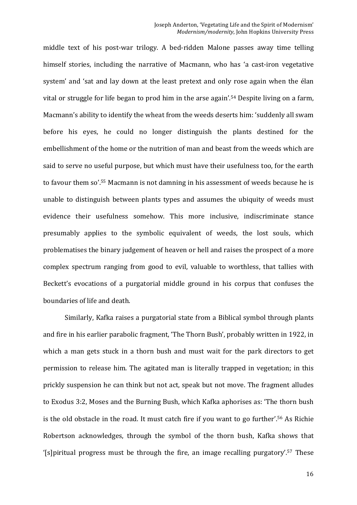middle text of his post-war trilogy. A bed-ridden Malone passes away time telling himself stories, including the narrative of Macmann, who has 'a cast-iron vegetative system' and 'sat and lay down at the least pretext and only rose again when the élan vital or struggle for life began to prod him in the arse again'.<sup>54</sup> Despite living on a farm, Macmann's ability to identify the wheat from the weeds deserts him: 'suddenly all swam before his eyes, he could no longer distinguish the plants destined for the embellishment of the home or the nutrition of man and beast from the weeds which are said to serve no useful purpose, but which must have their usefulness too, for the earth to favour them so'.<sup>55</sup> Macmann is not damning in his assessment of weeds because he is unable to distinguish between plants types and assumes the ubiquity of weeds must evidence their usefulness somehow. This more inclusive, indiscriminate stance presumably applies to the symbolic equivalent of weeds, the lost souls, which problematises the binary judgement of heaven or hell and raises the prospect of a more complex spectrum ranging from good to evil, valuable to worthless, that tallies with Beckett's evocations of a purgatorial middle ground in his corpus that confuses the boundaries of life and death.

Similarly, Kafka raises a purgatorial state from a Biblical symbol through plants and fire in his earlier parabolic fragment, 'The Thorn Bush', probably written in 1922, in which a man gets stuck in a thorn bush and must wait for the park directors to get permission to release him. The agitated man is literally trapped in vegetation; in this prickly suspension he can think but not act, speak but not move. The fragment alludes to Exodus 3:2, Moses and the Burning Bush, which Kafka aphorises as: 'The thorn bush is the old obstacle in the road. It must catch fire if you want to go further'.<sup>56</sup> As Richie Robertson acknowledges, through the symbol of the thorn bush, Kafka shows that '[s] piritual progress must be through the fire, an image recalling purgatory'.<sup>57</sup> These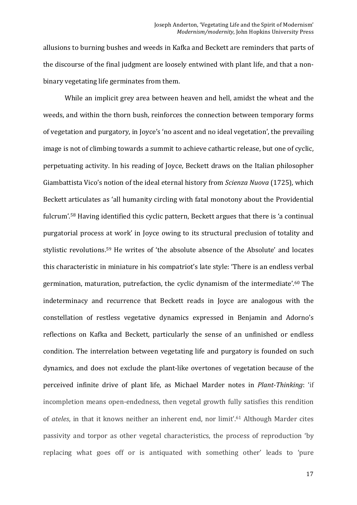allusions to burning bushes and weeds in Kafka and Beckett are reminders that parts of the discourse of the final judgment are loosely entwined with plant life, and that a nonbinary vegetating life germinates from them.

While an implicit grey area between heaven and hell, amidst the wheat and the weeds, and within the thorn bush, reinforces the connection between temporary forms of vegetation and purgatory, in Joyce's 'no ascent and no ideal vegetation', the prevailing image is not of climbing towards a summit to achieve cathartic release, but one of cyclic, perpetuating activity. In his reading of Joyce, Beckett draws on the Italian philosopher Giambattista Vico's notion of the ideal eternal history from *Scienza Nuova* (1725), which Beckett articulates as 'all humanity circling with fatal monotony about the Providential fulcrum'.<sup>58</sup> Having identified this cyclic pattern, Beckett argues that there is 'a continual purgatorial process at work' in Joyce owing to its structural preclusion of totality and stylistic revolutions.<sup>59</sup> He writes of 'the absolute absence of the Absolute' and locates this characteristic in miniature in his compatriot's late style: 'There is an endless verbal germination, maturation, putrefaction, the cyclic dynamism of the intermediate'.<sup>60</sup> The indeterminacy and recurrence that Beckett reads in Joyce are analogous with the constellation of restless vegetative dynamics expressed in Benjamin and Adorno's reflections on Kafka and Beckett, particularly the sense of an unfinished or endless condition. The interrelation between vegetating life and purgatory is founded on such dynamics, and does not exclude the plant-like overtones of vegetation because of the perceived infinite drive of plant life, as Michael Marder notes in *Plant-Thinking*: 'if incompletion means open-endedness, then vegetal growth fully satisfies this rendition of *ateles*, in that it knows neither an inherent end, nor limit'.<sup>61</sup> Although Marder cites passivity and torpor as other vegetal characteristics, the process of reproduction 'by replacing what goes off or is antiquated with something other' leads to 'pure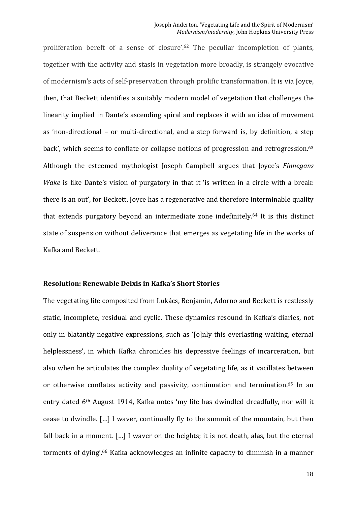proliferation bereft of a sense of closure'.<sup>62</sup> The peculiar incompletion of plants, together with the activity and stasis in vegetation more broadly, is strangely evocative of modernism's acts of self-preservation through prolific transformation. It is via Joyce, then, that Beckett identifies a suitably modern model of vegetation that challenges the linearity implied in Dante's ascending spiral and replaces it with an idea of movement as 'non-directional – or multi-directional, and a step forward is, by definition, a step back', which seems to conflate or collapse notions of progression and retrogression.<sup>63</sup> Although the esteemed mythologist Joseph Campbell argues that Joyce's *Finnegans Wake* is like Dante's vision of purgatory in that it 'is written in a circle with a break: there is an out', for Beckett, Joyce has a regenerative and therefore interminable quality that extends purgatory beyond an intermediate zone indefinitely.<sup>64</sup> It is this distinct state of suspension without deliverance that emerges as vegetating life in the works of Kafka and Beckett.

# **Resolution: Renewable Deixis in Kafka's Short Stories**

The vegetating life composited from Lukács, Benjamin, Adorno and Beckett is restlessly static, incomplete, residual and cyclic. These dynamics resound in Kafka's diaries, not only in blatantly negative expressions, such as '[o]nly this everlasting waiting, eternal helplessness', in which Kafka chronicles his depressive feelings of incarceration, but also when he articulates the complex duality of vegetating life, as it vacillates between or otherwise conflates activity and passivity, continuation and termination.<sup>65</sup> In an entry dated 6<sup>th</sup> August 1914, Kafka notes 'my life has dwindled dreadfully, nor will it cease to dwindle. [...] I waver, continually fly to the summit of the mountain, but then fall back in a moment.  $\lceil \ldots \rceil$  I waver on the heights; it is not death, alas, but the eternal torments of dying'.<sup>66</sup> Kafka acknowledges an infinite capacity to diminish in a manner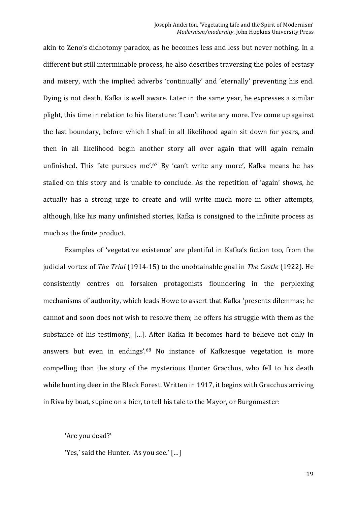akin to Zeno's dichotomy paradox, as he becomes less and less but never nothing. In a different but still interminable process, he also describes traversing the poles of ecstasy and misery, with the implied adverbs 'continually' and 'eternally' preventing his end. Dying is not death, Kafka is well aware. Later in the same year, he expresses a similar plight, this time in relation to his literature: 'I can't write any more. I've come up against the last boundary, before which I shall in all likelihood again sit down for years, and then in all likelihood begin another story all over again that will again remain unfinished. This fate pursues me'.<sup>67</sup> By 'can't write any more', Kafka means he has stalled on this story and is unable to conclude. As the repetition of 'again' shows, he actually has a strong urge to create and will write much more in other attempts, although, like his many unfinished stories, Kafka is consigned to the infinite process as much as the finite product.

Examples of 'vegetative existence' are plentiful in Kafka's fiction too, from the judicial vortex of *The Trial* (1914-15) to the unobtainable goal in *The Castle* (1922). He consistently centres on forsaken protagonists floundering in the perplexing mechanisms of authority, which leads Howe to assert that Kafka 'presents dilemmas; he cannot and soon does not wish to resolve them; he offers his struggle with them as the substance of his testimony; [...]. After Kafka it becomes hard to believe not only in answers but even in endings'.<sup>68</sup> No instance of Kafkaesque vegetation is more compelling than the story of the mysterious Hunter Gracchus, who fell to his death while hunting deer in the Black Forest. Written in 1917, it begins with Gracchus arriving in Riva by boat, supine on a bier, to tell his tale to the Mayor, or Burgomaster:

#### 'Are you dead?'

'Yes,' said the Hunter. 'As you see.' [...]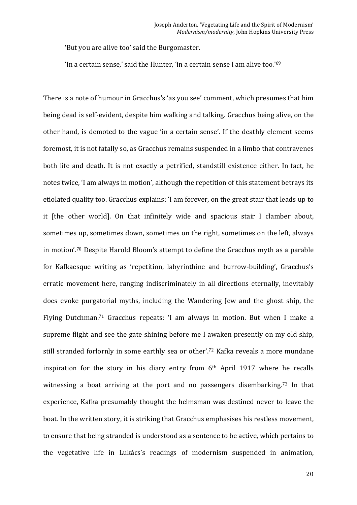'But you are alive too' said the Burgomaster.

'In a certain sense,' said the Hunter, 'in a certain sense I am alive too.'<sup>69</sup>

There is a note of humour in Gracchus's 'as you see' comment, which presumes that him being dead is self-evident, despite him walking and talking. Gracchus being alive, on the other hand, is demoted to the vague 'in a certain sense'. If the deathly element seems foremost, it is not fatally so, as Gracchus remains suspended in a limbo that contravenes both life and death. It is not exactly a petrified, standstill existence either. In fact, he notes twice, 'I am always in motion', although the repetition of this statement betrays its etiolated quality too. Gracchus explains: 'I am forever, on the great stair that leads up to it [the other world]. On that infinitely wide and spacious stair I clamber about, sometimes up, sometimes down, sometimes on the right, sometimes on the left, always in motion'.<sup>70</sup> Despite Harold Bloom's attempt to define the Gracchus myth as a parable for Kafkaesque writing as 'repetition, labyrinthine and burrow-building', Gracchus's erratic movement here, ranging indiscriminately in all directions eternally, inevitably does evoke purgatorial myths, including the Wandering Jew and the ghost ship, the Flying Dutchman.<sup>71</sup> Gracchus repeats: 'I am always in motion. But when I make a supreme flight and see the gate shining before me I awaken presently on my old ship, still stranded forlornly in some earthly sea or other'.<sup>72</sup> Kafka reveals a more mundane inspiration for the story in his diary entry from  $6<sup>th</sup>$  April 1917 where he recalls witnessing a boat arriving at the port and no passengers disembarking.<sup>73</sup> In that experience, Kafka presumably thought the helmsman was destined never to leave the boat. In the written story, it is striking that Gracchus emphasises his restless movement, to ensure that being stranded is understood as a sentence to be active, which pertains to the vegetative life in Lukács's readings of modernism suspended in animation,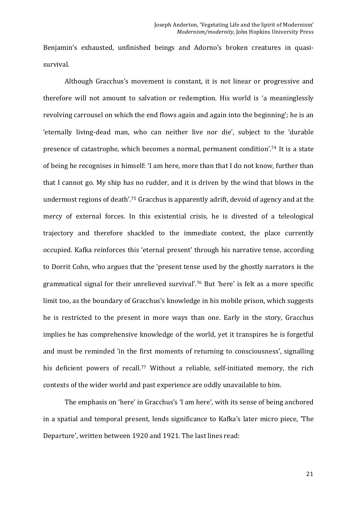Benjamin's exhausted, unfinished beings and Adorno's broken creatures in quasisurvival. 

Although Gracchus's movement is constant, it is not linear or progressive and therefore will not amount to salvation or redemption. His world is 'a meaninglessly revolving carrousel on which the end flows again and again into the beginning'; he is an 'eternally living-dead man, who can neither live nor die', subject to the 'durable presence of catastrophe, which becomes a normal, permanent condition'.<sup>74</sup> It is a state of being he recognises in himself: 'I am here, more than that I do not know, further than that I cannot go. My ship has no rudder, and it is driven by the wind that blows in the undermost regions of death'.<sup>75</sup> Gracchus is apparently adrift, devoid of agency and at the mercy of external forces. In this existential crisis, he is divested of a teleological trajectory and therefore shackled to the immediate context, the place currently occupied. Kafka reinforces this 'eternal present' through his narrative tense, according to Dorrit Cohn, who argues that the 'present tense used by the ghostly narrators is the grammatical signal for their unrelieved survival'.<sup>76</sup> But 'here' is felt as a more specific limit too, as the boundary of Gracchus's knowledge in his mobile prison, which suggests he is restricted to the present in more ways than one. Early in the story, Gracchus implies he has comprehensive knowledge of the world, yet it transpires he is forgetful and must be reminded 'in the first moments of returning to consciousness', signalling his deficient powers of recall.<sup>77</sup> Without a reliable, self-initiated memory, the rich contexts of the wider world and past experience are oddly unavailable to him.

The emphasis on 'here' in Gracchus's 'I am here', with its sense of being anchored in a spatial and temporal present, lends significance to Kafka's later micro piece, 'The Departure', written between 1920 and 1921. The last lines read: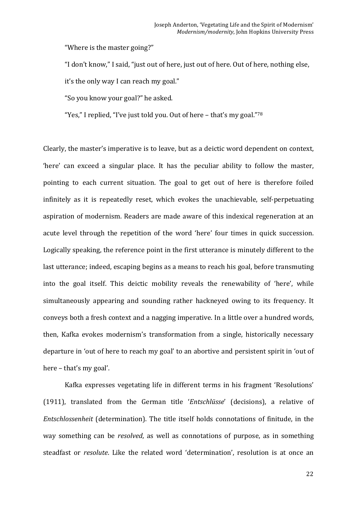"Where is the master going?"

"I don't know," I said, "just out of here, just out of here. Out of here, nothing else,

it's the only way I can reach my goal."

"So you know your goal?" he asked.

"Yes," I replied, "I've just told you. Out of here  $-$  that's my goal."<sup>78</sup>

Clearly, the master's imperative is to leave, but as a deictic word dependent on context, 'here' can exceed a singular place. It has the peculiar ability to follow the master, pointing to each current situation. The goal to get out of here is therefore foiled infinitely as it is repeatedly reset, which evokes the unachievable, self-perpetuating aspiration of modernism. Readers are made aware of this indexical regeneration at an acute level through the repetition of the word 'here' four times in quick succession. Logically speaking, the reference point in the first utterance is minutely different to the last utterance; indeed, escaping begins as a means to reach his goal, before transmuting into the goal itself. This deictic mobility reveals the renewability of 'here', while simultaneously appearing and sounding rather hackneyed owing to its frequency. It conveys both a fresh context and a nagging imperative. In a little over a hundred words, then, Kafka evokes modernism's transformation from a single, historically necessary departure in 'out of here to reach my goal' to an abortive and persistent spirit in 'out of here - that's my goal'.

Kafka expresses vegetating life in different terms in his fragment 'Resolutions' (1911), translated from the German title '*Entschlüsse'* (decisions), a relative of *Entschlossenheit* (determination). The title itself holds connotations of finitude, in the way something can be *resolved*, as well as connotations of purpose, as in something steadfast or *resolute*. Like the related word 'determination', resolution is at once an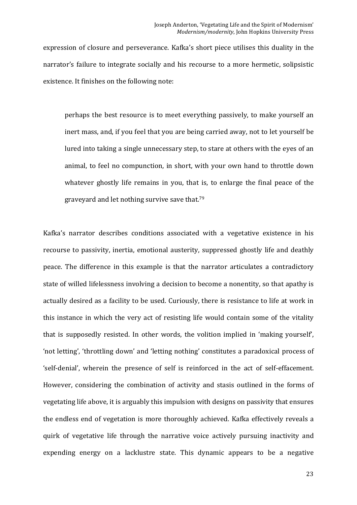expression of closure and perseverance. Kafka's short piece utilises this duality in the narrator's failure to integrate socially and his recourse to a more hermetic, solipsistic existence. It finishes on the following note:

perhaps the best resource is to meet everything passively, to make yourself an inert mass, and, if you feel that you are being carried away, not to let yourself be lured into taking a single unnecessary step, to stare at others with the eyes of an animal, to feel no compunction, in short, with your own hand to throttle down whatever ghostly life remains in you, that is, to enlarge the final peace of the graveyard and let nothing survive save that.<sup>79</sup>

Kafka's narrator describes conditions associated with a vegetative existence in his recourse to passivity, inertia, emotional austerity, suppressed ghostly life and deathly peace. The difference in this example is that the narrator articulates a contradictory state of willed lifelessness involving a decision to become a nonentity, so that apathy is actually desired as a facility to be used. Curiously, there is resistance to life at work in this instance in which the very act of resisting life would contain some of the vitality that is supposedly resisted. In other words, the volition implied in 'making yourself', 'not letting', 'throttling down' and 'letting nothing' constitutes a paradoxical process of 'self-denial', wherein the presence of self is reinforced in the act of self-effacement. However, considering the combination of activity and stasis outlined in the forms of vegetating life above, it is arguably this impulsion with designs on passivity that ensures the endless end of vegetation is more thoroughly achieved. Kafka effectively reveals a quirk of vegetative life through the narrative voice actively pursuing inactivity and expending energy on a lacklustre state. This dynamic appears to be a negative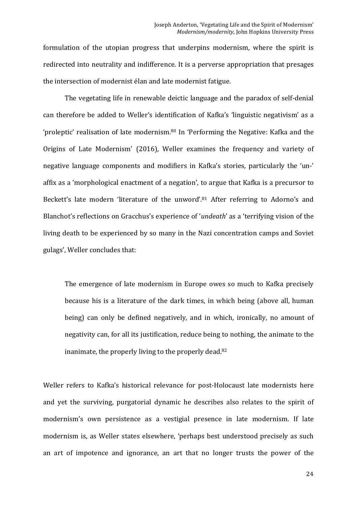formulation of the utopian progress that underpins modernism, where the spirit is redirected into neutrality and indifference. It is a perverse appropriation that presages the intersection of modernist élan and late modernist fatigue.

The vegetating life in renewable deictic language and the paradox of self-denial can therefore be added to Weller's identification of Kafka's 'linguistic negativism' as a 'proleptic' realisation of late modernism.<sup>80</sup> In 'Performing the Negative: Kafka and the Origins of Late Modernism' (2016), Weller examines the frequency and variety of negative language components and modifiers in Kafka's stories, particularly the 'un-' affix as a 'morphological enactment of a negation', to argue that Kafka is a precursor to Beckett's late modern 'literature of the unword'.<sup>81</sup> After referring to Adorno's and Blanchot's reflections on Gracchus's experience of '*undeath'* as a 'terrifying vision of the living death to be experienced by so many in the Nazi concentration camps and Soviet gulags', Weller concludes that:

The emergence of late modernism in Europe owes so much to Kafka precisely because his is a literature of the dark times, in which being (above all, human being) can only be defined negatively, and in which, ironically, no amount of negativity can, for all its justification, reduce being to nothing, the animate to the inanimate, the properly living to the properly dead. $82$ 

Weller refers to Kafka's historical relevance for post-Holocaust late modernists here and yet the surviving, purgatorial dynamic he describes also relates to the spirit of modernism's own persistence as a vestigial presence in late modernism. If late modernism is, as Weller states elsewhere, 'perhaps best understood precisely as such an art of impotence and ignorance, an art that no longer trusts the power of the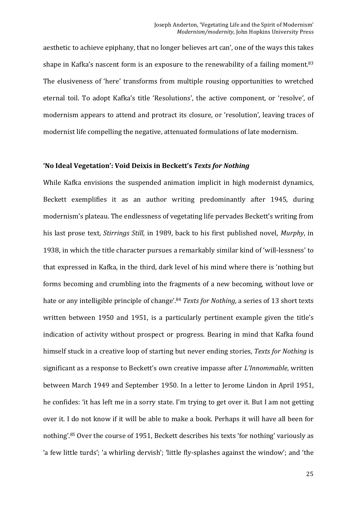aesthetic to achieve epiphany, that no longer believes art can', one of the ways this takes shape in Kafka's nascent form is an exposure to the renewability of a failing moment.<sup>83</sup> The elusiveness of 'here' transforms from multiple rousing opportunities to wretched eternal toil. To adopt Kafka's title 'Resolutions', the active component, or 'resolve', of modernism appears to attend and protract its closure, or 'resolution', leaving traces of modernist life compelling the negative, attenuated formulations of late modernism.

### 'No Ideal Vegetation': Void Deixis in Beckett's Texts for Nothing

While Kafka envisions the suspended animation implicit in high modernist dynamics, Beckett exemplifies it as an author writing predominantly after 1945, during modernism's plateau. The endlessness of vegetating life pervades Beckett's writing from his last prose text, *Stirrings Still*, in 1989, back to his first published novel, *Murphy*, in 1938, in which the title character pursues a remarkably similar kind of 'will-lessness' to that expressed in Kafka, in the third, dark level of his mind where there is 'nothing but forms becoming and crumbling into the fragments of a new becoming, without love or hate or any intelligible principle of change'.<sup>84</sup> *Texts for Nothing*, a series of 13 short texts written between 1950 and 1951, is a particularly pertinent example given the title's indication of activity without prospect or progress. Bearing in mind that Kafka found himself stuck in a creative loop of starting but never ending stories, *Texts for Nothing* is significant as a response to Beckett's own creative impasse after *L'Innommable*, written between March 1949 and September 1950. In a letter to Jerome Lindon in April 1951, he confides: 'it has left me in a sorry state. I'm trying to get over it. But I am not getting over it. I do not know if it will be able to make a book. Perhaps it will have all been for nothing'.<sup>85</sup> Over the course of 1951, Beckett describes his texts 'for nothing' variously as 'a few little turds'; 'a whirling dervish'; 'little fly-splashes against the window'; and 'the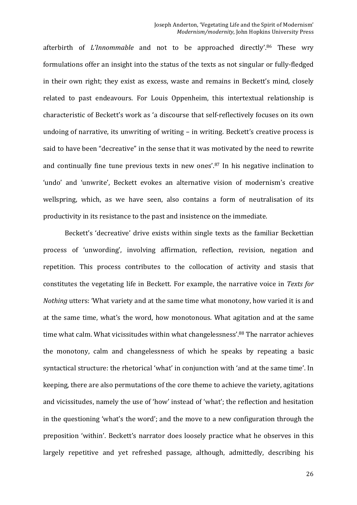afterbirth of *L'Innommable* and not to be approached directly'.<sup>86</sup> These wry formulations offer an insight into the status of the texts as not singular or fully-fledged in their own right; they exist as excess, waste and remains in Beckett's mind, closely related to past endeavours. For Louis Oppenheim, this intertextual relationship is characteristic of Beckett's work as 'a discourse that self-reflectively focuses on its own undoing of narrative, its unwriting of writing  $-$  in writing. Beckett's creative process is said to have been "decreative" in the sense that it was motivated by the need to rewrite and continually fine tune previous texts in new ones'. $87$  In his negative inclination to 'undo' and 'unwrite'. Beckett evokes an alternative vision of modernism's creative wellspring, which, as we have seen, also contains a form of neutralisation of its productivity in its resistance to the past and insistence on the immediate.

Beckett's 'decreative' drive exists within single texts as the familiar Beckettian process of 'unwording', involving affirmation, reflection, revision, negation and repetition. This process contributes to the collocation of activity and stasis that constitutes the vegetating life in Beckett. For example, the narrative voice in *Texts for Nothing* utters: 'What variety and at the same time what monotony, how varied it is and at the same time, what's the word, how monotonous. What agitation and at the same time what calm. What vicissitudes within what changelessness'.<sup>88</sup> The narrator achieves the monotony, calm and changelessness of which he speaks by repeating a basic syntactical structure: the rhetorical 'what' in conjunction with 'and at the same time'. In keeping, there are also permutations of the core theme to achieve the variety, agitations and vicissitudes, namely the use of 'how' instead of 'what'; the reflection and hesitation in the questioning 'what's the word'; and the move to a new configuration through the preposition 'within'. Beckett's narrator does loosely practice what he observes in this largely repetitive and vet refreshed passage, although, admittedly, describing his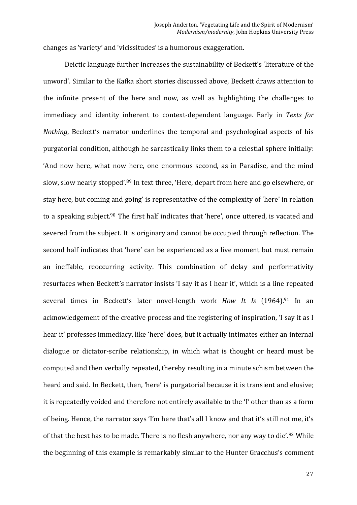changes as 'variety' and 'vicissitudes' is a humorous exaggeration.

Deictic language further increases the sustainability of Beckett's 'literature of the unword'. Similar to the Kafka short stories discussed above, Beckett draws attention to the infinite present of the here and now, as well as highlighting the challenges to immediacy and identity inherent to context-dependent language. Early in *Texts for Nothing*, Beckett's narrator underlines the temporal and psychological aspects of his purgatorial condition, although he sarcastically links them to a celestial sphere initially: 'And now here, what now here, one enormous second, as in Paradise, and the mind slow, slow nearly stopped'.<sup>89</sup> In text three, 'Here, depart from here and go elsewhere, or stay here, but coming and going' is representative of the complexity of 'here' in relation to a speaking subject.<sup>90</sup> The first half indicates that 'here', once uttered, is vacated and severed from the subject. It is originary and cannot be occupied through reflection. The second half indicates that 'here' can be experienced as a live moment but must remain an ineffable, reoccurring activity. This combination of delay and performativity resurfaces when Beckett's narrator insists 'I say it as I hear it', which is a line repeated several times in Beckett's later novel-length work *How It Is* (1964).<sup>91</sup> In an acknowledgement of the creative process and the registering of inspiration, 'I say it as I hear it' professes immediacy, like 'here' does, but it actually intimates either an internal dialogue or dictator-scribe relationship, in which what is thought or heard must be computed and then verbally repeated, thereby resulting in a minute schism between the heard and said. In Beckett, then, 'here' is purgatorial because it is transient and elusive; it is repeatedly voided and therefore not entirely available to the 'I' other than as a form of being. Hence, the narrator says 'I'm here that's all I know and that it's still not me, it's of that the best has to be made. There is no flesh anywhere, nor any way to die'.<sup>92</sup> While the beginning of this example is remarkably similar to the Hunter Gracchus's comment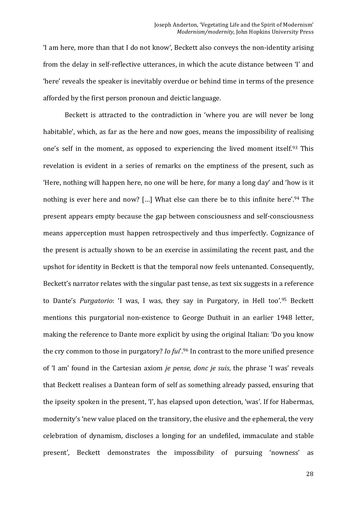'I am here, more than that I do not know', Beckett also conveys the non-identity arising from the delay in self-reflective utterances, in which the acute distance between 'I' and 'here' reveals the speaker is inevitably overdue or behind time in terms of the presence afforded by the first person pronoun and deictic language.

Beckett is attracted to the contradiction in 'where you are will never be long habitable', which, as far as the here and now goes, means the impossibility of realising one's self in the moment, as opposed to experiencing the lived moment itself.<sup>93</sup> This revelation is evident in a series of remarks on the emptiness of the present, such as 'Here, nothing will happen here, no one will be here, for many a long day' and 'how is it nothing is ever here and now? [...] What else can there be to this infinite here'.<sup>94</sup> The present appears empty because the gap between consciousness and self-consciousness means apperception must happen retrospectively and thus imperfectly. Cognizance of the present is actually shown to be an exercise in assimilating the recent past, and the upshot for identity in Beckett is that the temporal now feels untenanted. Consequently, Beckett's narrator relates with the singular past tense, as text six suggests in a reference to Dante's *Purgatorio*: 'I was, I was, they say in Purgatory, in Hell too'.95 Beckett mentions this purgatorial non-existence to George Duthuit in an earlier 1948 letter, making the reference to Dante more explicit by using the original Italian: 'Do you know the cry common to those in purgatory? *Io fui*'.<sup>96</sup> In contrast to the more unified presence of 'I am' found in the Cartesian axiom *je pense, donc je suis*, the phrase 'I was' reveals that Beckett realises a Dantean form of self as something already passed, ensuring that the ipseity spoken in the present, 'I', has elapsed upon detection, 'was'. If for Habermas, modernity's 'new value placed on the transitory, the elusive and the ephemeral, the very celebration of dynamism, discloses a longing for an undefiled, immaculate and stable present', Beckett demonstrates the impossibility of pursuing 'nowness' as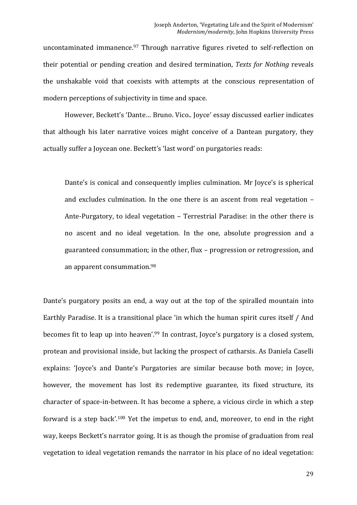uncontaminated immanence.<sup>97</sup> Through narrative figures riveted to self-reflection on their potential or pending creation and desired termination, *Texts for Nothing* reveals the unshakable void that coexists with attempts at the conscious representation of modern perceptions of subjectivity in time and space.

However, Beckett's 'Dante... Bruno. Vico.. Joyce' essay discussed earlier indicates that although his later narrative voices might conceive of a Dantean purgatory, they actually suffer a Joycean one. Beckett's 'last word' on purgatories reads:

Dante's is conical and consequently implies culmination. Mr Joyce's is spherical and excludes culmination. In the one there is an ascent from real vegetation  $-$ Ante-Purgatory, to ideal vegetation - Terrestrial Paradise: in the other there is no ascent and no ideal vegetation. In the one, absolute progression and a guaranteed consummation; in the other, flux – progression or retrogression, and an apparent consummation.<sup>98</sup>

Dante's purgatory posits an end, a way out at the top of the spiralled mountain into Earthly Paradise. It is a transitional place 'in which the human spirit cures itself / And becomes fit to leap up into heaven'.<sup>99</sup> In contrast, Joyce's purgatory is a closed system, protean and provisional inside, but lacking the prospect of catharsis. As Daniela Caselli explains: 'Joyce's and Dante's Purgatories are similar because both move; in Joyce, however, the movement has lost its redemptive guarantee, its fixed structure, its character of space-in-between. It has become a sphere, a vicious circle in which a step forward is a step back'.<sup>100</sup> Yet the impetus to end, and, moreover, to end in the right way, keeps Beckett's narrator going. It is as though the promise of graduation from real vegetation to ideal vegetation remands the narrator in his place of no ideal vegetation: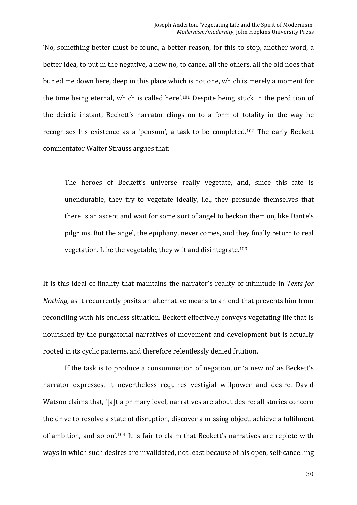'No, something better must be found, a better reason, for this to stop, another word, a better idea, to put in the negative, a new no, to cancel all the others, all the old noes that buried me down here, deep in this place which is not one, which is merely a moment for the time being eternal, which is called here'.<sup>101</sup> Despite being stuck in the perdition of the deictic instant, Beckett's narrator clings on to a form of totality in the way he recognises his existence as a 'pensum', a task to be completed.<sup>102</sup> The early Beckett commentator Walter Strauss argues that:

The heroes of Beckett's universe really vegetate, and, since this fate is unendurable, they try to vegetate ideally, i.e., they persuade themselves that there is an ascent and wait for some sort of angel to beckon them on, like Dante's pilgrims. But the angel, the epiphany, never comes, and they finally return to real vegetation. Like the vegetable, they wilt and disintegrate. $103$ 

It is this ideal of finality that maintains the narrator's reality of infinitude in Texts for *Nothing*, as it recurrently posits an alternative means to an end that prevents him from reconciling with his endless situation. Beckett effectively conveys vegetating life that is nourished by the purgatorial narratives of movement and development but is actually rooted in its cyclic patterns, and therefore relentlessly denied fruition.

If the task is to produce a consummation of negation, or 'a new no' as Beckett's narrator expresses, it nevertheless requires vestigial willpower and desire. David Watson claims that, '[a]t a primary level, narratives are about desire: all stories concern the drive to resolve a state of disruption, discover a missing object, achieve a fulfilment of ambition, and so on'.<sup>104</sup> It is fair to claim that Beckett's narratives are replete with ways in which such desires are invalidated, not least because of his open, self-cancelling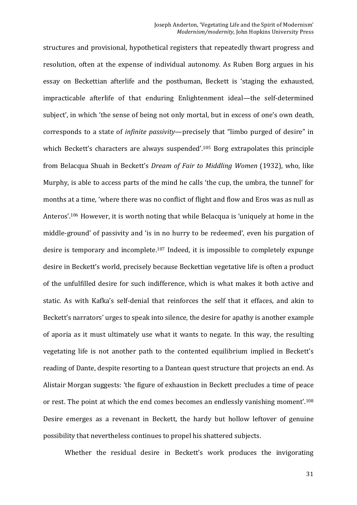structures and provisional, hypothetical registers that repeatedly thwart progress and resolution, often at the expense of individual autonomy. As Ruben Borg argues in his essay on Beckettian afterlife and the posthuman, Beckett is 'staging the exhausted, impracticable afterlife of that enduring Enlightenment ideal—the self-determined subject', in which 'the sense of being not only mortal, but in excess of one's own death, corresponds to a state of *infinite passivity*—precisely that "limbo purged of desire" in which Beckett's characters are always suspended'.<sup>105</sup> Borg extrapolates this principle from Belacqua Shuah in Beckett's *Dream of Fair to Middling Women* (1932), who, like Murphy, is able to access parts of the mind he calls 'the cup, the umbra, the tunnel' for months at a time, 'where there was no conflict of flight and flow and Eros was as null as Anteros'.<sup>106</sup> However, it is worth noting that while Belacqua is 'uniquely at home in the middle-ground' of passivity and 'is in no hurry to be redeemed', even his purgation of desire is temporary and incomplete.<sup>107</sup> Indeed, it is impossible to completely expunge desire in Beckett's world, precisely because Beckettian vegetative life is often a product of the unfulfilled desire for such indifference, which is what makes it both active and static. As with Kafka's self-denial that reinforces the self that it effaces, and akin to Beckett's narrators' urges to speak into silence, the desire for apathy is another example of aporia as it must ultimately use what it wants to negate. In this way, the resulting vegetating life is not another path to the contented equilibrium implied in Beckett's reading of Dante, despite resorting to a Dantean quest structure that projects an end. As Alistair Morgan suggests: 'the figure of exhaustion in Beckett precludes a time of peace or rest. The point at which the end comes becomes an endlessly vanishing moment'.<sup>108</sup> Desire emerges as a revenant in Beckett, the hardy but hollow leftover of genuine possibility that nevertheless continues to propel his shattered subjects.

Whether the residual desire in Beckett's work produces the invigorating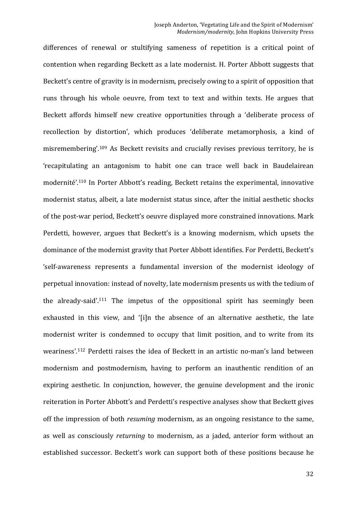differences of renewal or stultifying sameness of repetition is a critical point of contention when regarding Beckett as a late modernist. H. Porter Abbott suggests that Beckett's centre of gravity is in modernism, precisely owing to a spirit of opposition that runs through his whole oeuvre, from text to text and within texts. He argues that Beckett affords himself new creative opportunities through a 'deliberate process of recollection by distortion', which produces 'deliberate metamorphosis, a kind of misremembering'.<sup>109</sup> As Beckett revisits and crucially revises previous territory, he is 'recapitulating an antagonism to habit one can trace well back in Baudelairean modernité'.<sup>110</sup> In Porter Abbott's reading, Beckett retains the experimental, innovative modernist status, albeit, a late modernist status since, after the initial aesthetic shocks of the post-war period, Beckett's oeuvre displayed more constrained innovations. Mark Perdetti, however, argues that Beckett's is a knowing modernism, which upsets the dominance of the modernist gravity that Porter Abbott identifies. For Perdetti, Beckett's 'self-awareness represents a fundamental inversion of the modernist ideology of perpetual innovation: instead of novelty, late modernism presents us with the tedium of the already-said'.<sup>111</sup> The impetus of the oppositional spirit has seemingly been exhausted in this view, and '[i]n the absence of an alternative aesthetic, the late modernist writer is condemned to occupy that limit position, and to write from its weariness'.<sup>112</sup> Perdetti raises the idea of Beckett in an artistic no-man's land between modernism and postmodernism, having to perform an inauthentic rendition of an expiring aesthetic. In conjunction, however, the genuine development and the ironic reiteration in Porter Abbott's and Perdetti's respective analyses show that Beckett gives off the impression of both *resuming* modernism, as an ongoing resistance to the same, as well as consciously *returning* to modernism, as a jaded, anterior form without an established successor. Beckett's work can support both of these positions because he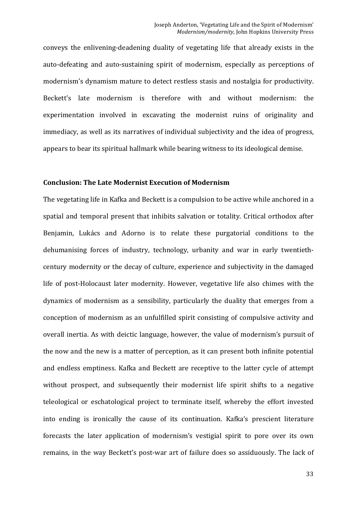conveys the enlivening-deadening duality of vegetating life that already exists in the auto-defeating and auto-sustaining spirit of modernism, especially as perceptions of modernism's dynamism mature to detect restless stasis and nostalgia for productivity. Beckett's late modernism is therefore with and without modernism: the experimentation involved in excavating the modernist ruins of originality and immediacy, as well as its narratives of individual subjectivity and the idea of progress, appears to bear its spiritual hallmark while bearing witness to its ideological demise.

#### **Conclusion: The Late Modernist Execution of Modernism**

The vegetating life in Kafka and Beckett is a compulsion to be active while anchored in a spatial and temporal present that inhibits salvation or totality. Critical orthodox after Benjamin, Lukács and Adorno is to relate these purgatorial conditions to the dehumanising forces of industry, technology, urbanity and war in early twentiethcentury modernity or the decay of culture, experience and subjectivity in the damaged life of post-Holocaust later modernity. However, vegetative life also chimes with the dynamics of modernism as a sensibility, particularly the duality that emerges from a conception of modernism as an unfulfilled spirit consisting of compulsive activity and overall inertia. As with deictic language, however, the value of modernism's pursuit of the now and the new is a matter of perception, as it can present both infinite potential and endless emptiness. Kafka and Beckett are receptive to the latter cycle of attempt without prospect, and subsequently their modernist life spirit shifts to a negative teleological or eschatological project to terminate itself, whereby the effort invested into ending is ironically the cause of its continuation. Kafka's prescient literature forecasts the later application of modernism's vestigial spirit to pore over its own remains, in the way Beckett's post-war art of failure does so assiduously. The lack of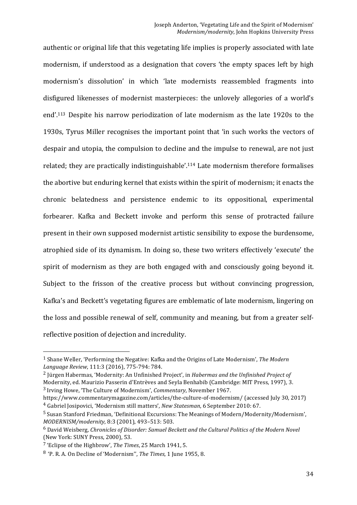authentic or original life that this vegetating life implies is properly associated with late modernism, if understood as a designation that covers 'the empty spaces left by high modernism's dissolution' in which 'late modernists reassembled fragments into disfigured likenesses of modernist masterpieces: the unlovely allegories of a world's end'.<sup>113</sup> Despite his narrow periodization of late modernism as the late 1920s to the 1930s, Tyrus Miller recognises the important point that 'in such works the vectors of despair and utopia, the compulsion to decline and the impulse to renewal, are not just related; they are practically indistinguishable'.<sup>114</sup> Late modernism therefore formalises the abortive but enduring kernel that exists within the spirit of modernism; it enacts the chronic belatedness and persistence endemic to its oppositional, experimental forbearer. Kafka and Beckett invoke and perform this sense of protracted failure present in their own supposed modernist artistic sensibility to expose the burdensome, atrophied side of its dynamism. In doing so, these two writers effectively 'execute' the spirit of modernism as they are both engaged with and consciously going beyond it. Subject to the frisson of the creative process but without convincing progression, Kafka's and Beckett's vegetating figures are emblematic of late modernism, lingering on the loss and possible renewal of self, community and meaning, but from a greater selfreflective position of dejection and incredulity.

<sup>3</sup> Irving Howe, 'The Culture of Modernism', *Commentary*, November 1967.

<sup>&</sup>lt;sup>1</sup> Shane Weller, 'Performing the Negative: Kafka and the Origins of Late Modernism', *The Modern Language Review*, 111:3 (2016), 775-794: 784. 

<sup>&</sup>lt;sup>2</sup> Jürgen Habermas, 'Modernity: An Unfinished Project', in *Habermas and the Unfinished Project of* 

Modernity, ed. Maurizio Passerin d'Entrèves and Seyla Benhabib (Cambridge: MIT Press, 1997), 3.

https://www.commentarymagazine.com/articles/the-culture-of-modernism/ (accessed July 30, 2017) <sup>4</sup> Gabriel Josipovici, 'Modernism still matters', *New Statesman*, 6 September 2010: 67.

<sup>&</sup>lt;sup>5</sup> Susan Stanford Friedman, 'Definitional Excursions: The Meanings of Modern/Modernity/Modernism', *MODERNISM/modernity*, 8:3 (2001), 493-513: 503.

<sup>&</sup>lt;sup>6</sup> David Weisberg, *Chronicles of Disorder: Samuel Beckett and the Cultural Politics of the Modern Novel* (New York: SUNY Press, 2000), 53.

<sup>&</sup>lt;sup>7</sup> 'Eclipse of the Highbrow', *The Times*, 25 March 1941, 5.

<sup>&</sup>lt;sup>8</sup> 'P. R. A. On Decline of 'Modernism'', *The Times*, 1 June 1955, 8.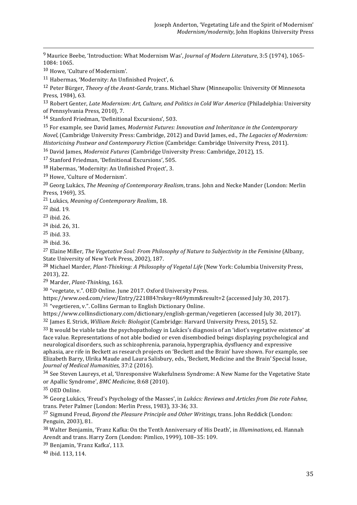<sup>9</sup> Maurice Beebe, 'Introduction: What Modernism Was', *Journal of Modern Literature*, 3:5 (1974), 1065-1084: 1065.

<u> 1989 - Andrea Santa Andrea Andrea Andrea Andrea Andrea Andrea Andrea Andrea Andrea Andrea Andrea Andrea Andr</u>

<sup>10</sup> Howe, 'Culture of Modernism'.

 $11$  Habermas, 'Modernity: An Unfinished Project', 6.

<sup>12</sup> Peter Bürger, *Theory of the Avant-Garde*, trans. Michael Shaw (Minneapolis: University Of Minnesota Press, 1984), 63.

<sup>13</sup> Robert Genter, *Late Modernism: Art, Culture, and Politics in Cold War America* (Philadelphia: University of Pennsylvania Press, 2010), 7.

<sup>14</sup> Stanford Friedman, 'Definitional Excursions', 503.

<sup>15</sup> For example, see David James, *Modernist Futures: Innovation and Inheritance in the Contemporary Novel,* (Cambridge University Press: Cambridge, 2012) and David James, ed., *The Legacies of Modernism: Historicising Postwar and Contemporary Fiction* (Cambridge: Cambridge University Press, 2011).

<sup>16</sup> David James, *Modernist Futures* (Cambridge University Press: Cambridge, 2012), 15.

<sup>17</sup> Stanford Friedman, 'Definitional Excursions', 505.

18 Habermas, 'Modernity: An Unfinished Project', 3.

<sup>19</sup> Howe, 'Culture of Modernism'.

<sup>20</sup> Georg Lukács, *The Meaning of Contemporary Realism*, trans. John and Necke Mander (London: Merlin Press, 1969), 35.

21 Lukács, *Meaning of Contemporary Realis*m, 18.

 $22$  ibid.  $19$ .

 $23$  ibid. 26.

 $24$  ibid. 26, 31.

<sup>25</sup> ibid. 33.

 $26$  ibid.  $36$ .

<sup>27</sup> Elaine Miller, *The Vegetative Soul: From Philosophy of Nature to Subjectivity in the Feminine* (Albany, State University of New York Press, 2002), 187.

<sup>28</sup> Michael Marder, *Plant-Thinking: A Philosophy of Vegetal Life* (New York: Columbia University Press, 2013), 22.

<sup>29</sup> Marder, *Plant-Thinking*, 163.

30 "vegetate, v.". OED Online. June 2017. Oxford University Press.

https://www.oed.com/view/Entry/221884?rskey=R69ymm&result=2 (accessed Iuly 30. 2017).

 $31$  "vegetieren, v.". Collins German to English Dictionary Online.

https://www.collinsdictionary.com/dictionary/english-german/vegetieren (accessed July 30, 2017).

<sup>32</sup> James E. Strick, *William Reich: Biologist* (Cambridge: Harvard University Press, 2015), 52.

 $33$  It would be viable take the psychopathology in Lukács's diagnosis of an 'idiot's vegetative existence' at face value. Representations of not able bodied or even disembodied beings displaying psychological and neurological disorders, such as schizophrenia, paranoia, hypergraphia, dysfluency and expressive aphasia, are rife in Beckett as research projects on 'Beckett and the Brain' have shown. For example, see Elizabeth Barry, Ulrika Maude and Laura Salisbury, eds., 'Beckett, Medicine and the Brain' Special Issue, *Journal of Medical Humanities*, 37:2 (2016).

<sup>34</sup> See Steven Laureys, et al, 'Unresponsive Wakefulness Syndrome: A New Name for the Vegetative State or Apallic Syndrome', *BMC Medicine*, 8:68 (2010).

<sup>35</sup> OED Online.

<sup>36</sup> Georg Lukács, 'Freud's Psychology of the Masses', in *Lukács: Reviews and Articles from Die rote Fahne*, trans. Peter Palmer (London: Merlin Press, 1983), 33-36; 33.

<sup>37</sup> Sigmund Freud, *Beyond the Pleasure Principle and Other Writings*, trans. John Reddick (London: Penguin, 2003), 81.

<sup>38</sup> Walter Benjamin, 'Franz Kafka: On the Tenth Anniversary of His Death', in *Illuminations*, ed. Hannah Arendt and trans. Harry Zorn (London: Pimlico, 1999), 108-35: 109.

<sup>39</sup> Benjamin, 'Franz Kafka', 113.

40 ihid. 113, 114.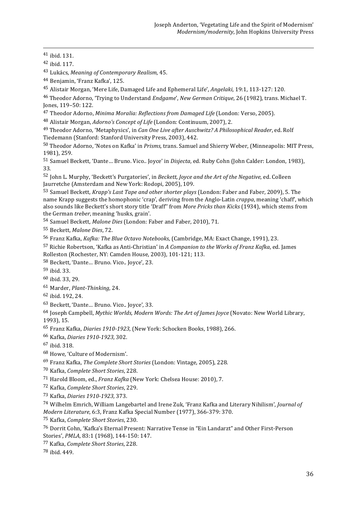43 Lukács, *Meaning of Contemporary Realism*, 45.

<sup>45</sup> Alistair Morgan, 'Mere Life, Damaged Life and Ephemeral Life', *Angelaki*, 19:1, 113-127: 120.

<sup>46</sup> Theodor Adorno, 'Trying to Understand *Endgame*', *New German Critique*, 26 (1982), trans. Michael T. Jones, 119-50: 122.

<u> 1989 - Andrea Santa Andrea Andrea Andrea Andrea Andrea Andrea Andrea Andrea Andrea Andrea Andrea Andrea Andr</u>

<sup>47</sup> Theodor Adorno, *Minima Moralia: Reflections from Damaged Life* (London: Verso, 2005).

<sup>48</sup> Alistair Morgan, *Adorno's Concept of Life* (London: Continuum, 2007), 2.

<sup>49</sup> Theodor Adorno, 'Metaphysics', in *Can One Live after Auschwitz? A Philosophical Reader*. ed. Rolf Tiedemann (Stanford: Stanford University Press, 2003), 442.

<sup>50</sup> Theodor Adorno, 'Notes on Kafka' in *Prisms*, trans. Samuel and Shierry Weber, (Minneapolis: MIT Press, 1981), 259.

<sup>51</sup> Samuel Beckett, 'Dante... Bruno. Vico.. Joyce' in *Disjecta*, ed. Ruby Cohn (John Calder: London, 1983), 33.

52 John L. Murphy, 'Beckett's Purgatories', in *Beckett, Joyce and the Art of the Negative*, ed. Colleen Jaurretche (Amsterdam and New York: Rodopi, 2005), 109.

53 Samuel Beckett, *Krapp's Last Tape and other shorter plays* (London: Faber and Faber, 2009), 5. The name Krapp suggests the homophonic 'crap', deriving from the Anglo-Latin *crappa*, meaning 'chaff', which also sounds like Beckett's short story title 'Draff' from More Pricks than Kicks (1934), which stems from the German *treber*, meaning 'husks, grain'.

<sup>54</sup> Samuel Beckett, *Malone Dies* (London: Faber and Faber, 2010), 71.

<sup>55</sup> Beckett, *Malone Dies*, 72.

56 Franz Kafka, *Kafka: The Blue Octavo Notebooks*, (Cambridge, MA: Exact Change, 1991), 23.

57 Richie Robertson, 'Kafka as Anti-Christian' in *A Companion to the Works of Franz Kafka*, ed. James Rolleston (Rochester, NY: Camden House, 2003), 101-121; 113.

58 Beckett, 'Dante... Bruno. Vico.. Joyce', 23.

 $59$  ibid. 33.

- $60$  ibid. 33, 29.
- <sup>61</sup> Marder, *Plant-Thinking*, 24.
- <sup>62</sup> ibid. 192, 24.
- 63 Beckett, 'Dante... Bruno. Vico.. Joyce', 33.

<sup>64</sup> Joseph Campbell, *Mythic Worlds, Modern Words: The Art of James Joyce* (Novato: New World Library, 1993), 15.

<sup>65</sup> Franz Kafka, *Diaries* 1910-1923, (New York: Schocken Books, 1988), 266.

- <sup>66</sup> Kafka, *Diaries 1910-1923,* 302.
- <sup>67</sup> ibid. 318.

68 Howe, 'Culture of Modernism'.

- 69 Franz Kafka, *The Complete Short Stories* (London: Vintage, 2005), 228.
- <sup>70</sup> Kafka, *Complete Short Stories*, 228.
- <sup>71</sup> Harold Bloom, ed., *Franz Kafka* (New York: Chelsea House: 2010), 7.
- <sup>72</sup> Kafka, *Complete Short Stories*, 229.
- <sup>73</sup> Kafka, *Diaries 1910-1923,* 373.

<sup>74</sup> Wilhelm Emrich, William Langebartel and Irene Zuk, 'Franz Kafka and Literary Nihilism', *Journal of Modern Literature,* 6:3, Franz Kafka Special Number (1977), 366-379: 370.

<sup>75</sup> Kafka, *Complete Short Stories*, 230.

<sup>76</sup> Dorrit Cohn, 'Kafka's Eternal Present: Narrative Tense in "Ein Landarzt" and Other First-Person Stories', PMLA, 83:1 (1968), 144-150: 147.

77 Kafka, *Complete Short Stories*, 228.

<sup>78</sup> ibid. 449.

 $41$  ibid. 131.

 $42$  ihid.  $117$ .

<sup>&</sup>lt;sup>44</sup> Benjamin, 'Franz Kafka', 125.